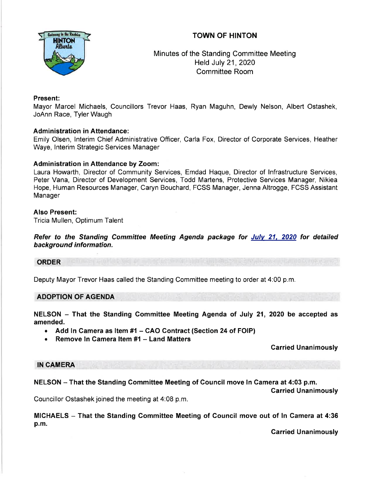# TOWN OF HINTON



Minutes of the Standing Committee Meeting Held July 21,2020 Committee Room

# Present:

Mayor Marcel Michaels, Councillors Trevor Haas, Ryan Maguhn, Dewly Nelson, Albert Ostashek, JoAnn Race, Tyler Waugh

# Administration in Attendance:

Emily Olsen, lnterim Chief Administrative Officer, Carla Fox, Director of Corporate Services, Heather Waye, lnterim Strategic Services Manager

# Administration in Attendance by Zoom:

Laura Howarth, Director of Community Services, Emdad Haque, Director of lnfrastructure Services, Peter Vana, Director of Development Services, Todd Martens, Protective Services Manager, Nikiea Hope, Human Resources Manager, Caryn Bouchard, FCSS Manager, Jenna Altrogge, FCSS Assistant Manager

### Also Present:

Tricia Mullen, Optimum Talent

Refer to the Standing Committee Meeting Agenda package for Julv 21, 2020 for detailed background information.

ORDER

Deputy Mayor Trevor Haas called the Standing Committee meeting to order at 4:00 p.m.

# ADOPTION OF AGENDA

NELSON - That the Standing Committee Meeting Agenda of July 21, 2020 be accepted as amended.

- Add In Camera as Item #1 CAO Contract (Section 24 of FOIP)<br>• Remove In Camera Item #1 Land Matters
- Remove In Camera Item #1 Land Matters

# Garried Unanimously

# IN CAMERA

NELSON - That the Standing Committee Meeting of Council move In Camera at 4:03 p.m.

Councillor Ostashek joined the meeting at 4:08 p.m.

MICHAELS - That the Standing Committee Meeting of Council move out of In Camera at 4:36 p.m.

Garried Unanimously

Carried Unanimously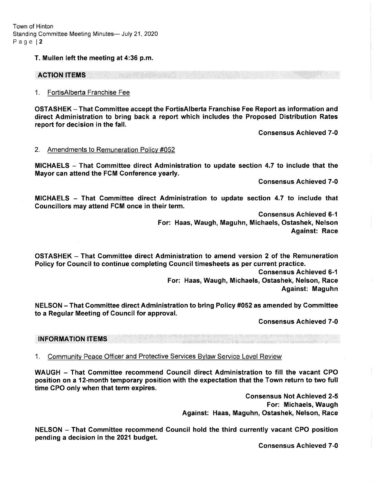Town of Hinton Standing Committee Meeting Minutes- July 21, 2020 Page l2

T. Mullen left the meeting at 4:36 p.m.

### ACTION ITEMS

#### 1. FortisAlberta Franchise Fee

OSTASHEK - That Gommittee accept the FortisAlberta Franchise Fee Report as information and direct Administration to bring back a report which includes the Proposed Distribution Rates report for decision in the fall.

Consensus Achieved 7-0

#### 2. Amendments to Remuneration Policv #052

MICHAELS - That Committee direct Administration to update section 4.7 to include that the Mayor can attend the FGM Gonference yearly.

Gonsensus Achieved 7-0

MICHAELS - That Committee direct Administration to update section 4.7 to include that Councillors may attend FCM once in their term.

> Gonsensus Achieved 6-1 For: Haas, Waugh, Maguhn, Michaels, Ostashek, Nelson Against: Race

OSTASHEK - That Gommittee direct Administration to amend version 2 of the Remuneration Policy for Gouncil to continue completing Gouncil timesheets as per current practice.

> Gonsensus Achieved 6-1 For: Haas, Waugh, Michaels, Ostashek, Nelson, Race Against: Maguhn

NELSON - That Gommittee direct Administration to bring Policy #052 as amended by Gommittee to a Regular Meeting of Council for approval.

Consensus Achieved 7-0

#### INFORMATION ITEMS

1. Communitv Peace Officer and Protective Services Bvlaw Service Level Review

WAUGH - That Committee recommend Council direct Administration to fill the vacant GPO position on a 12-month temporary position with the expectation that the Town return to two full time CPO only when that term expires.

> Gonsensus Not Achieved 2-5 For: Michaels, Waugh Against: Haas, Maguhn, Ostashek, Nelson, Race

NELSON - That Committee recommend Council hold the third currently vacant CPO position pending a decision in the 2021 budget.

Consensus Achieved 7-0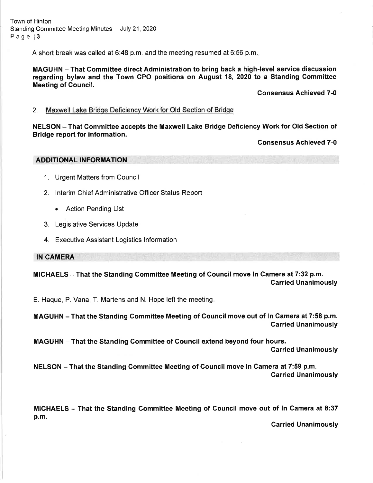A short break was called at 6:48 p.m. and the meeting resumed at 6:56 p.m

MAGUHN - That Gommittee direct Administration to bring back a high-level service discussion regarding bylaw and the Town CPO positions on August 18, 2020 to a Standing Committee Meeting of Gouncil.

Consensus Achieved 7-0

### 2. Maxwell Lake Bridqe Deficiencv Work for Old Section of Bridqe

NELSON - That Committee accepts the Maxwell Lake Bridge Deficiency Work for Old Section of Bridge report for information.

Gonsensus Achieved 7-0

ADDITIONAL INFORMATION

- 1. Urgent Matters from Council
- 2. lnterim Chief Administrative Officer Status Report
	- Action Pending List
- 3. Legislative Services Update
- 4. Executive Assistant Logistics lnformation

IN CAMERA

MICHAELS - That the Standing Committee Meeting of Council move In Camera at 7:32 p.m. Garried Unanimously

E. Haque, P. Vana, T. Martens and N. Hope left the meeting

MAGUHN - That the Standing Committee Meeting of Gouncil move out of ln Camera at 7:58 p.m. Garried Unanimously

MAGUHN - That the Standing Committee of Gouncil extend beyond four hours. Garried Unanimously

NELSON - That the Standing Committee Meeting of Council move In Camera at 7:59 p.m. Carried Unanimously

MICHAELS - That the Standing Committee Meeting of Council move out of ln Camera at 8:37 p.m.

Garried Unanimously